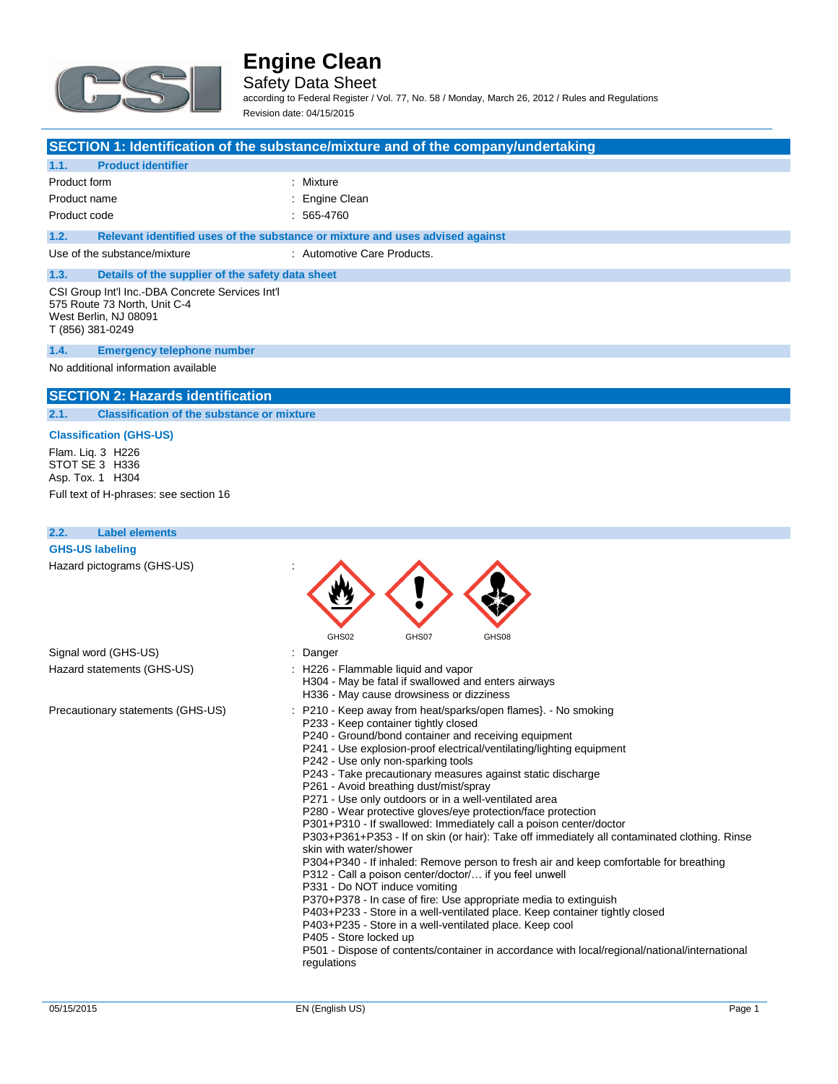

Safety Data Sheet

according to Federal Register / Vol. 77, No. 58 / Monday, March 26, 2012 / Rules and Regulations Revision date: 04/15/2015

#### **SECTION 1: Identification of the substance/mixture and of the company/undertaking**

#### **1.1. Product identifier**

| Product form | : Mixture      |
|--------------|----------------|
| Product name | : Engine Clean |
| Product code | : 565-4760     |

**1.2. Relevant identified uses of the substance or mixture and uses advised against**

Use of the substance/mixture in the substance/mixture in the substance of the substance Products.

# **1.3. Details of the supplier of the safety data sheet**

CSI Group Int'l Inc.-DBA Concrete Services Int'l 575 Route 73 North, Unit C-4 West Berlin, NJ 08091 T (856) 381-0249

#### **1.4. Emergency telephone number**

No additional information available

#### **SECTION 2: Hazards identification**

**2.1. Classification of the substance or mixture**

### **Classification (GHS-US)**

Flam. Liq. 3 H226 STOT SE 3 H336 Asp. Tox. 1 H304

Full text of H-phrases: see section 16

## **2.2. Label elements GHS-US labeling** Hazard pictograms (GHS-US) : GHS02 GHS07 GHS08 Signal word (GHS-US) in the state of the Signal word (GHS-US) in the state of the Signal state of the Signal Signal Signal Signal Signal Signal Signal Signal Signal Signal Signal Signal Signal Signal Signal Signal Signal S Hazard statements (GHS-US) : H226 - Flammable liquid and vapor H304 - May be fatal if swallowed and enters airways H336 - May cause drowsiness or dizziness Precautionary statements (GHS-US) : P210 - Keep away from heat/sparks/open flames}. - No smoking P233 - Keep container tightly closed P240 - Ground/bond container and receiving equipment P241 - Use explosion-proof electrical/ventilating/lighting equipment P242 - Use only non-sparking tools P243 - Take precautionary measures against static discharge P261 - Avoid breathing dust/mist/spray P271 - Use only outdoors or in a well-ventilated area P280 - Wear protective gloves/eye protection/face protection P301+P310 - If swallowed: Immediately call a poison center/doctor P303+P361+P353 - If on skin (or hair): Take off immediately all contaminated clothing. Rinse skin with water/shower

P304+P340 - If inhaled: Remove person to fresh air and keep comfortable for breathing P312 - Call a poison center/doctor/… if you feel unwell

- P331 Do NOT induce vomiting
- P370+P378 In case of fire: Use appropriate media to extinguish

P403+P233 - Store in a well-ventilated place. Keep container tightly closed

- P403+P235 Store in a well-ventilated place. Keep cool
- P405 Store locked up
	- P501 Dispose of contents/container in accordance with local/regional/national/international regulations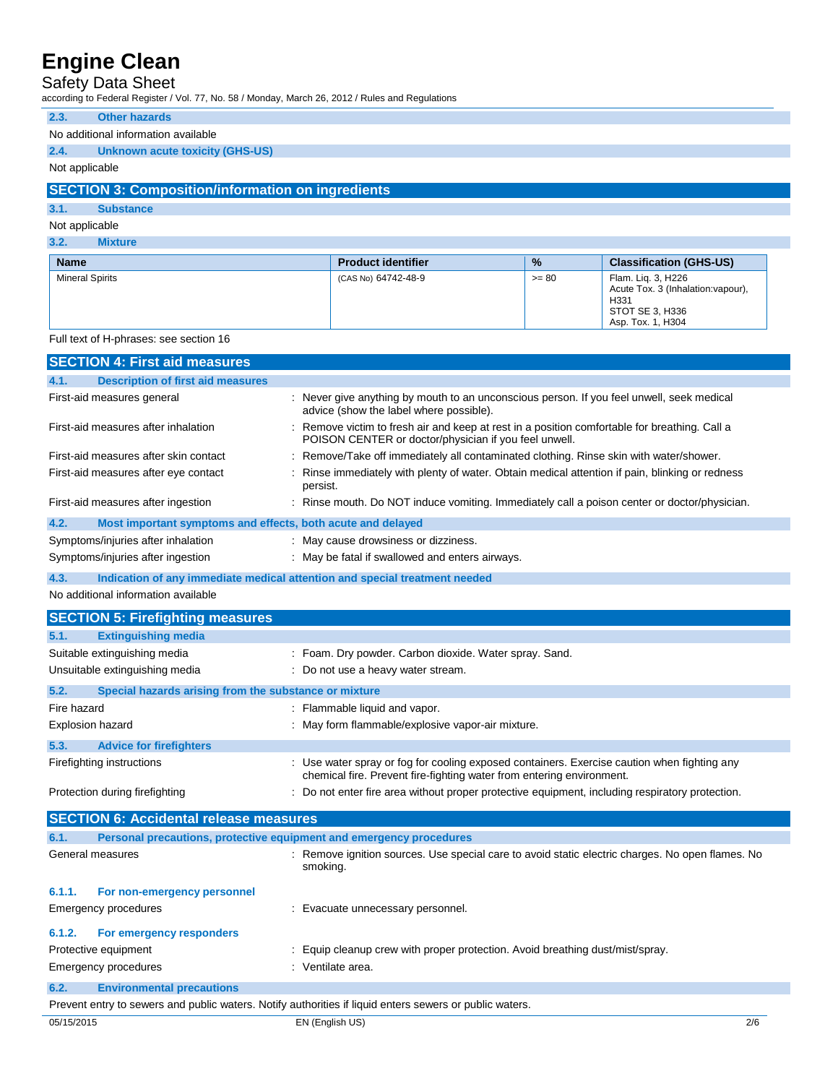## Safety Data Sheet

according to Federal Register / Vol. 77, No. 58 / Monday, March 26, 2012 / Rules and Regulations

## **2.3. Other hazards**

#### No additional information available

## **2.4. Unknown acute toxicity (GHS-US)**

Not applicable

## **SECTION 3: Composition/information on ingredients**

# **3.1. Substance**

## Not applicable **3.2. Mixture**

| <b>Name</b>            | <b>Product identifier</b> | $\frac{9}{6}$ | <b>Classification (GHS-US)</b>                                                                           |
|------------------------|---------------------------|---------------|----------------------------------------------------------------------------------------------------------|
| <b>Mineral Spirits</b> | (CAS No) 64742-48-9       | $>= 80$       | Flam. Lig. 3, H226<br>Acute Tox. 3 (Inhalation: vapour),<br>H331<br>STOT SE 3, H336<br>Asp. Tox. 1. H304 |

#### Full text of H-phrases: see section 16

|                                                               | <b>SECTION 4: First aid measures</b>                                |                                                                                                                                                                      |  |
|---------------------------------------------------------------|---------------------------------------------------------------------|----------------------------------------------------------------------------------------------------------------------------------------------------------------------|--|
| 4.1.                                                          | <b>Description of first aid measures</b>                            |                                                                                                                                                                      |  |
|                                                               | First-aid measures general                                          | : Never give anything by mouth to an unconscious person. If you feel unwell, seek medical<br>advice (show the label where possible).                                 |  |
|                                                               | First-aid measures after inhalation                                 | : Remove victim to fresh air and keep at rest in a position comfortable for breathing. Call a<br>POISON CENTER or doctor/physician if you feel unwell.               |  |
|                                                               | First-aid measures after skin contact                               | Remove/Take off immediately all contaminated clothing. Rinse skin with water/shower.                                                                                 |  |
|                                                               | First-aid measures after eye contact                                | Rinse immediately with plenty of water. Obtain medical attention if pain, blinking or redness<br>persist.                                                            |  |
|                                                               | First-aid measures after ingestion                                  | : Rinse mouth. Do NOT induce vomiting. Immediately call a poison center or doctor/physician.                                                                         |  |
| 4.2.                                                          | Most important symptoms and effects, both acute and delayed         |                                                                                                                                                                      |  |
|                                                               | Symptoms/injuries after inhalation                                  | : May cause drowsiness or dizziness.                                                                                                                                 |  |
|                                                               | Symptoms/injuries after ingestion                                   | : May be fatal if swallowed and enters airways.                                                                                                                      |  |
| 4.3.                                                          |                                                                     | Indication of any immediate medical attention and special treatment needed                                                                                           |  |
|                                                               | No additional information available                                 |                                                                                                                                                                      |  |
|                                                               | <b>SECTION 5: Firefighting measures</b>                             |                                                                                                                                                                      |  |
| 5.1.                                                          | <b>Extinguishing media</b>                                          |                                                                                                                                                                      |  |
|                                                               | Suitable extinguishing media                                        | : Foam. Dry powder. Carbon dioxide. Water spray. Sand.                                                                                                               |  |
|                                                               | Unsuitable extinguishing media                                      | : Do not use a heavy water stream.                                                                                                                                   |  |
| 5.2.<br>Special hazards arising from the substance or mixture |                                                                     |                                                                                                                                                                      |  |
| Fire hazard                                                   |                                                                     | : Flammable liquid and vapor.                                                                                                                                        |  |
| Explosion hazard                                              |                                                                     | : May form flammable/explosive vapor-air mixture.                                                                                                                    |  |
| 5.3.                                                          | <b>Advice for firefighters</b>                                      |                                                                                                                                                                      |  |
|                                                               | Firefighting instructions                                           | : Use water spray or fog for cooling exposed containers. Exercise caution when fighting any<br>chemical fire. Prevent fire-fighting water from entering environment. |  |
|                                                               | Protection during firefighting                                      | : Do not enter fire area without proper protective equipment, including respiratory protection.                                                                      |  |
|                                                               | <b>SECTION 6: Accidental release measures</b>                       |                                                                                                                                                                      |  |
| 6.1.                                                          | Personal precautions, protective equipment and emergency procedures |                                                                                                                                                                      |  |
|                                                               | General measures                                                    | Remove ignition sources. Use special care to avoid static electric charges. No open flames. No<br>smoking.                                                           |  |
| 6.1.1.                                                        | For non-emergency personnel                                         |                                                                                                                                                                      |  |
|                                                               | Emergency procedures                                                | : Evacuate unnecessary personnel.                                                                                                                                    |  |
| 6.1.2.                                                        | For emergency responders                                            |                                                                                                                                                                      |  |
|                                                               | Protective equipment                                                | : Equip cleanup crew with proper protection. Avoid breathing dust/mist/spray.                                                                                        |  |
|                                                               | Emergency procedures                                                | : Ventilate area.                                                                                                                                                    |  |
| 6.2.                                                          | <b>Environmental precautions</b>                                    |                                                                                                                                                                      |  |

Prevent entry to sewers and public waters. Notify authorities if liquid enters sewers or public waters.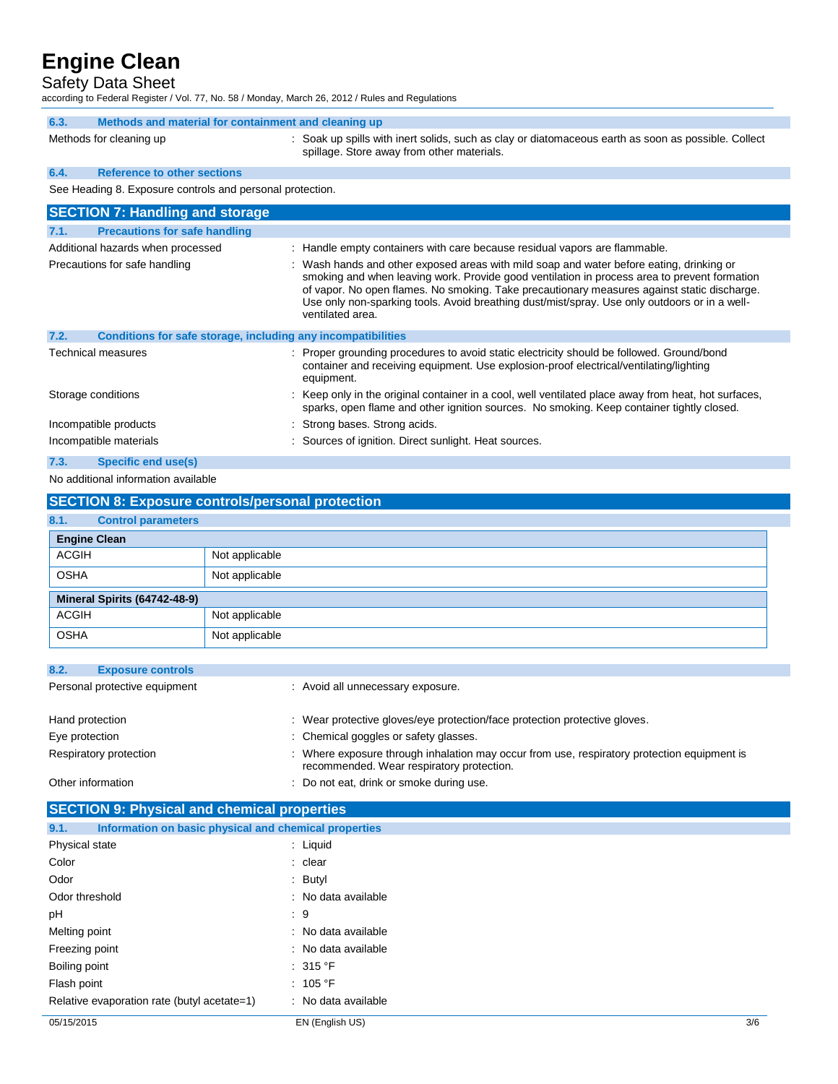## Safety Data Sheet

according to Federal Register / Vol. 77, No. 58 / Monday, March 26, 2012 / Rules and Regulations

| 6.3.<br>Methods and material for containment and cleaning up                                                                                                                                                                                                                                                                                                                                                                                  |                                                                                                                                                                                                   |  |  |  |
|-----------------------------------------------------------------------------------------------------------------------------------------------------------------------------------------------------------------------------------------------------------------------------------------------------------------------------------------------------------------------------------------------------------------------------------------------|---------------------------------------------------------------------------------------------------------------------------------------------------------------------------------------------------|--|--|--|
| Methods for cleaning up                                                                                                                                                                                                                                                                                                                                                                                                                       | : Soak up spills with inert solids, such as clay or diatomaceous earth as soon as possible. Collect<br>spillage. Store away from other materials.                                                 |  |  |  |
| <b>Reference to other sections</b><br>6.4.                                                                                                                                                                                                                                                                                                                                                                                                    |                                                                                                                                                                                                   |  |  |  |
| See Heading 8. Exposure controls and personal protection.                                                                                                                                                                                                                                                                                                                                                                                     |                                                                                                                                                                                                   |  |  |  |
| <b>SECTION 7: Handling and storage</b>                                                                                                                                                                                                                                                                                                                                                                                                        |                                                                                                                                                                                                   |  |  |  |
| <b>Precautions for safe handling</b><br>7.1.                                                                                                                                                                                                                                                                                                                                                                                                  |                                                                                                                                                                                                   |  |  |  |
| Additional hazards when processed                                                                                                                                                                                                                                                                                                                                                                                                             | : Handle empty containers with care because residual vapors are flammable.                                                                                                                        |  |  |  |
| : Wash hands and other exposed areas with mild soap and water before eating, drinking or<br>Precautions for safe handling<br>smoking and when leaving work. Provide good ventilation in process area to prevent formation<br>of vapor. No open flames. No smoking. Take precautionary measures against static discharge.<br>Use only non-sparking tools. Avoid breathing dust/mist/spray. Use only outdoors or in a well-<br>ventilated area. |                                                                                                                                                                                                   |  |  |  |
| 7.2.<br>Conditions for safe storage, including any incompatibilities                                                                                                                                                                                                                                                                                                                                                                          |                                                                                                                                                                                                   |  |  |  |
| Technical measures                                                                                                                                                                                                                                                                                                                                                                                                                            | : Proper grounding procedures to avoid static electricity should be followed. Ground/bond<br>container and receiving equipment. Use explosion-proof electrical/ventilating/lighting<br>equipment. |  |  |  |
| Storage conditions                                                                                                                                                                                                                                                                                                                                                                                                                            | : Keep only in the original container in a cool, well ventilated place away from heat, hot surfaces,<br>sparks, open flame and other ignition sources. No smoking. Keep container tightly closed. |  |  |  |
| Incompatible products                                                                                                                                                                                                                                                                                                                                                                                                                         | : Strong bases. Strong acids.                                                                                                                                                                     |  |  |  |
| Incompatible materials                                                                                                                                                                                                                                                                                                                                                                                                                        | : Sources of ignition. Direct sunlight. Heat sources.                                                                                                                                             |  |  |  |

#### **7.3. Specific end use(s)**

No additional information available

|                              | <b>SECTION 8: Exposure controls/personal protection</b> |                |  |
|------------------------------|---------------------------------------------------------|----------------|--|
| 8.1.                         | <b>Control parameters</b>                               |                |  |
| <b>Engine Clean</b>          |                                                         |                |  |
| <b>ACGIH</b>                 |                                                         | Not applicable |  |
| <b>OSHA</b>                  |                                                         | Not applicable |  |
| Mineral Spirits (64742-48-9) |                                                         |                |  |
| <b>ACGIH</b>                 |                                                         | Not applicable |  |
| <b>OSHA</b>                  |                                                         | Not applicable |  |

| 8.2.<br><b>Exposure controls</b> |                                                                                                                                          |
|----------------------------------|------------------------------------------------------------------------------------------------------------------------------------------|
| Personal protective equipment    | : Avoid all unnecessary exposure.                                                                                                        |
| Hand protection                  | : Wear protective gloves/eye protection/face protection protective gloves.                                                               |
| Eye protection                   | : Chemical goggles or safety glasses.                                                                                                    |
| Respiratory protection           | : Where exposure through inhalation may occur from use, respiratory protection equipment is<br>recommended. Wear respiratory protection. |
| Other information                | : Do not eat, drink or smoke during use.                                                                                                 |

| <b>SECTION 9: Physical and chemical properties</b>            |                     |  |  |
|---------------------------------------------------------------|---------------------|--|--|
| Information on basic physical and chemical properties<br>9.1. |                     |  |  |
| Physical state                                                | : Liquid            |  |  |
| Color                                                         | : clear             |  |  |
| Odor                                                          | : Butyl             |  |  |
| Odor threshold                                                | : No data available |  |  |
| рH                                                            | $\cdot$ 9           |  |  |
| Melting point                                                 | : No data available |  |  |
| Freezing point                                                | : No data available |  |  |
| Boiling point                                                 | : 315 °F            |  |  |
| Flash point                                                   | : 105 °F            |  |  |
| Relative evaporation rate (butyl acetate=1)                   | : No data available |  |  |
|                                                               |                     |  |  |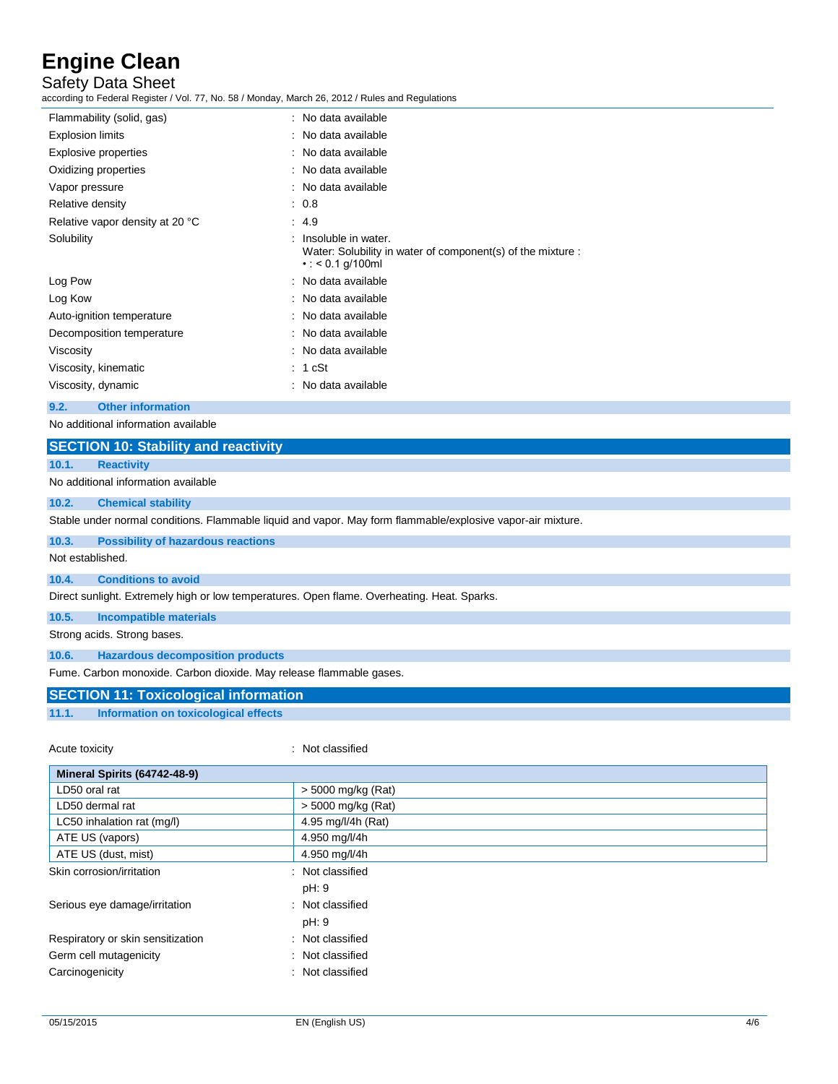Safety Data Sheet

according to Federal Register / Vol. 77, No. 58 / Monday, March 26, 2012 / Rules and Regulations

| Flammability (solid, gas)       | : No data available                                                                                               |
|---------------------------------|-------------------------------------------------------------------------------------------------------------------|
| Explosion limits                | : No data available                                                                                               |
| Explosive properties            | : No data available                                                                                               |
| Oxidizing properties            | : No data available                                                                                               |
| Vapor pressure                  | : No data available                                                                                               |
| Relative density                | : 0.8                                                                                                             |
| Relative vapor density at 20 °C | : 4.9                                                                                                             |
| Solubility                      | $:$ Insoluble in water.<br>Water: Solubility in water of component(s) of the mixture :<br>$\cdot$ : < 0.1 g/100ml |
| Log Pow                         | : No data available                                                                                               |
| Log Kow                         | : No data available                                                                                               |
| Auto-ignition temperature       | : No data available                                                                                               |
| Decomposition temperature       | : No data available                                                                                               |
| Viscosity                       | : No data available                                                                                               |
| Viscosity, kinematic            | : 1 cSt                                                                                                           |
| Viscosity, dynamic              | : No data available                                                                                               |
|                                 |                                                                                                                   |

**9.2. Other information**

No additional information available

# **SECTION 10: Stability and reactivity 10.1. Reactivity**

No additional information available

#### **10.2. Chemical stability**

Stable under normal conditions. Flammable liquid and vapor. May form flammable/explosive vapor-air mixture.

## **10.3. Possibility of hazardous reactions**

Not established.

#### **10.4. Conditions to avoid**

Direct sunlight. Extremely high or low temperatures. Open flame. Overheating. Heat. Sparks.

**10.5. Incompatible materials**

Strong acids. Strong bases.

**10.6. Hazardous decomposition products**

Fume. Carbon monoxide. Carbon dioxide. May release flammable gases.

## **SECTION 11: Toxicological information**

**11.1. Information on toxicological effects**

: Not classified

| Mineral Spirits (64742-48-9)      |                    |
|-----------------------------------|--------------------|
| LD50 oral rat                     | > 5000 mg/kg (Rat) |
| LD50 dermal rat                   | > 5000 mg/kg (Rat) |
| LC50 inhalation rat (mg/l)        | 4.95 mg/l/4h (Rat) |
| ATE US (vapors)                   | 4.950 mg/l/4h      |
| ATE US (dust, mist)               | 4.950 mg/l/4h      |
| Skin corrosion/irritation         | : Not classified   |
|                                   | pH: 9              |
| Serious eye damage/irritation     | : Not classified   |
|                                   | pH: 9              |
| Respiratory or skin sensitization | : Not classified   |
| Germ cell mutagenicity<br>÷.      | Not classified     |
| Carcinogenicity                   | : Not classified   |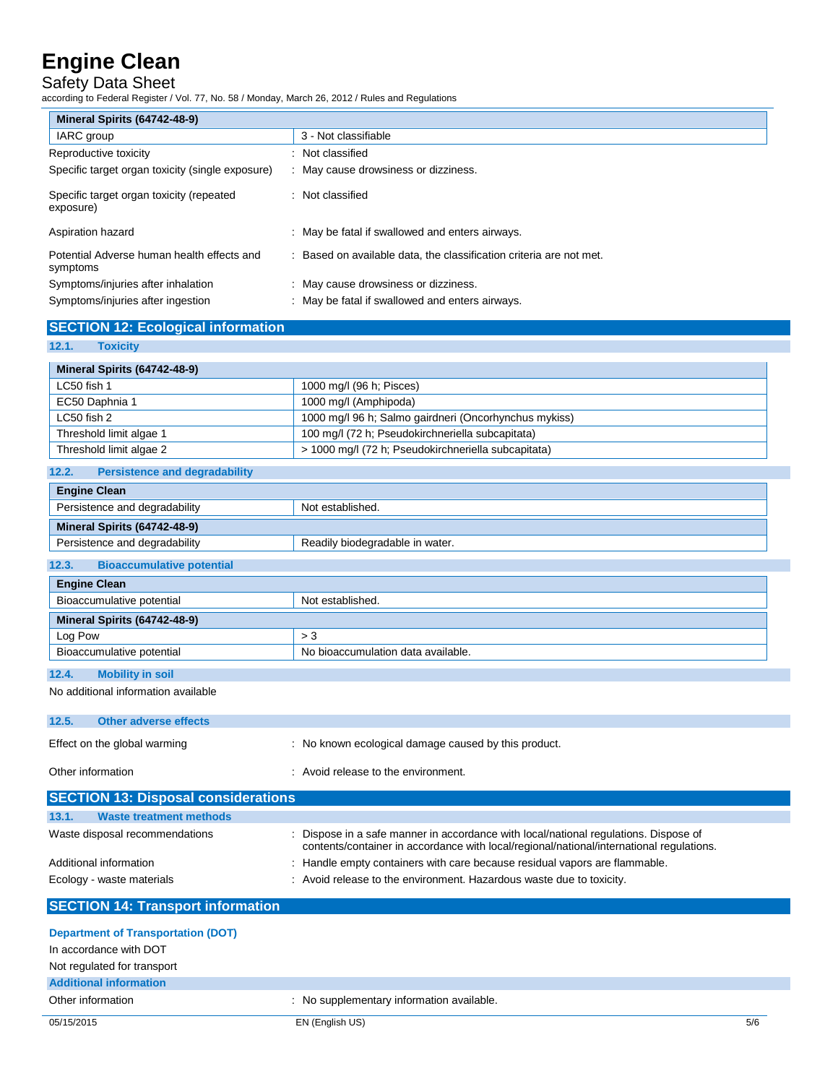## Safety Data Sheet

according to Federal Register / Vol. 77, No. 58 / Monday, March 26, 2012 / Rules and Regulations

| Mineral Spirits (64742-48-9)                           |                                                                     |
|--------------------------------------------------------|---------------------------------------------------------------------|
| IARC group                                             | 3 - Not classifiable                                                |
| Reproductive toxicity                                  | : Not classified                                                    |
| Specific target organ toxicity (single exposure)       | : May cause drowsiness or dizziness.                                |
| Specific target organ toxicity (repeated<br>exposure)  | : Not classified                                                    |
| Aspiration hazard                                      | : May be fatal if swallowed and enters airways.                     |
| Potential Adverse human health effects and<br>symptoms | : Based on available data, the classification criteria are not met. |
| Symptoms/injuries after inhalation                     | : May cause drowsiness or dizziness.                                |
| Symptoms/injuries after ingestion                      | : May be fatal if swallowed and enters airways.                     |

| <b>SECTION 12: Ecological information</b> |
|-------------------------------------------|
|                                           |
| $AOA$ $Taviala$                           |

| 14.1.<br><b>TOXICITY</b>                      |                                                                                                                                                                                |
|-----------------------------------------------|--------------------------------------------------------------------------------------------------------------------------------------------------------------------------------|
| Mineral Spirits (64742-48-9)                  |                                                                                                                                                                                |
| LC50 fish 1                                   | 1000 mg/l (96 h; Pisces)                                                                                                                                                       |
| EC50 Daphnia 1                                | 1000 mg/l (Amphipoda)                                                                                                                                                          |
| LC50 fish 2                                   | 1000 mg/l 96 h; Salmo gairdneri (Oncorhynchus mykiss)                                                                                                                          |
| Threshold limit algae 1                       | 100 mg/l (72 h; Pseudokirchneriella subcapitata)                                                                                                                               |
| Threshold limit algae 2                       | > 1000 mg/l (72 h; Pseudokirchneriella subcapitata)                                                                                                                            |
| <b>Persistence and degradability</b><br>12.2. |                                                                                                                                                                                |
| <b>Engine Clean</b>                           |                                                                                                                                                                                |
| Persistence and degradability                 | Not established.                                                                                                                                                               |
| Mineral Spirits (64742-48-9)                  |                                                                                                                                                                                |
| Persistence and degradability                 | Readily biodegradable in water.                                                                                                                                                |
| 12.3.<br><b>Bioaccumulative potential</b>     |                                                                                                                                                                                |
| <b>Engine Clean</b>                           |                                                                                                                                                                                |
| Bioaccumulative potential                     | Not established.                                                                                                                                                               |
| Mineral Spirits (64742-48-9)                  |                                                                                                                                                                                |
| Log Pow                                       | > 3                                                                                                                                                                            |
| Bioaccumulative potential                     | No bioaccumulation data available.                                                                                                                                             |
| 12.4.<br><b>Mobility in soil</b>              |                                                                                                                                                                                |
| No additional information available           |                                                                                                                                                                                |
|                                               |                                                                                                                                                                                |
| 12.5.<br><b>Other adverse effects</b>         |                                                                                                                                                                                |
| Effect on the global warming                  | : No known ecological damage caused by this product.                                                                                                                           |
|                                               |                                                                                                                                                                                |
| Other information                             | : Avoid release to the environment.                                                                                                                                            |
| <b>SECTION 13: Disposal considerations</b>    |                                                                                                                                                                                |
| <b>Waste treatment methods</b><br>13.1.       |                                                                                                                                                                                |
| Waste disposal recommendations                | Dispose in a safe manner in accordance with local/national regulations. Dispose of<br>contents/container in accordance with local/regional/national/international regulations. |
| Additional information                        | : Handle empty containers with care because residual vapors are flammable.                                                                                                     |
| Ecology - waste materials                     | Avoid release to the environment. Hazardous waste due to toxicity.                                                                                                             |

**SECTION 14: Transport information**

| <b>Department of Transportation (DOT)</b> |                                           |
|-------------------------------------------|-------------------------------------------|
| In accordance with DOT                    |                                           |
| Not regulated for transport               |                                           |
| <b>Additional information</b>             |                                           |
| Other information                         | : No supplementary information available. |